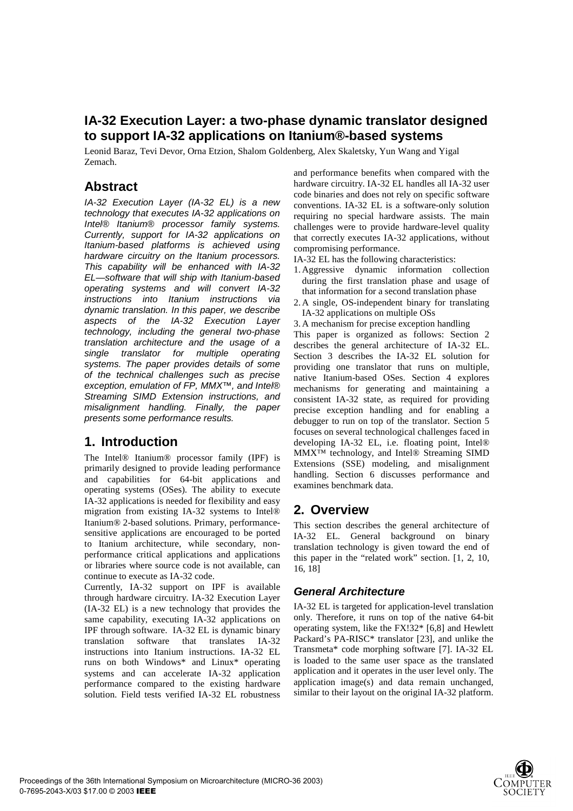# **IA-32 Execution Layer: a two-phase dynamic translator designed to support IA-32 applications on Itanium®-based systems**

Leonid Baraz, Tevi Devor, Orna Etzion, Shalom Goldenberg, Alex Skaletsky, Yun Wang and Yigal Zemach.

## **Abstract**

*IA-32 Execution Layer (IA-32 EL) is a new technology that executes IA-32 applications on Intel® Itanium® processor family systems. Currently, support for IA-32 applications on Itanium-based platforms is achieved using hardware circuitry on the Itanium processors. This capability will be enhanced with IA-32 EL—software that will ship with Itanium-based operating systems and will convert IA-32 instructions into Itanium instructions via dynamic translation. In this paper, we describe aspects of the IA-32 Execution Layer technology, including the general two-phase translation architecture and the usage of a single translator for multiple operating systems. The paper provides details of some of the technical challenges such as precise exception, emulation of FP, MMX™, and Intel® Streaming SIMD Extension instructions, and misalignment handling. Finally, the paper presents some performance results.*

## **1. Introduction**

The Intel® Itanium® processor family (IPF) is primarily designed to provide leading performance and capabilities for 64-bit applications and operating systems (OSes). The ability to execute IA-32 applications is needed for flexibility and easy migration from existing IA-32 systems to Intel® Itanium® 2-based solutions. Primary, performancesensitive applications are encouraged to be ported to Itanium architecture, while secondary, nonperformance critical applications and applications or libraries where source code is not available, can continue to execute as IA-32 code.

Currently, IA-32 support on IPF is available through hardware circuitry. IA-32 Execution Layer (IA-32 EL) is a new technology that provides the same capability, executing IA-32 applications on IPF through software. IA-32 EL is dynamic binary translation software that translates IA-32 instructions into Itanium instructions. IA-32 EL runs on both Windows\* and Linux\* operating systems and can accelerate IA-32 application performance compared to the existing hardware solution. Field tests verified IA-32 EL robustness

and performance benefits when compared with the hardware circuitry. IA-32 EL handles all IA-32 user code binaries and does not rely on specific software conventions. IA-32 EL is a software-only solution requiring no special hardware assists. The main challenges were to provide hardware-level quality that correctly executes IA-32 applications, without compromising performance.

- IA-32 EL has the following characteristics:
- 1. Aggressive dynamic information collection during the first translation phase and usage of that information for a second translation phase
- 2. A single, OS-independent binary for translating IA-32 applications on multiple OSs
- 3. A mechanism for precise exception handling

This paper is organized as follows: Section 2 describes the general architecture of IA-32 EL. Section 3 describes the IA-32 EL solution for providing one translator that runs on multiple, native Itanium-based OSes. Section 4 explores mechanisms for generating and maintaining a consistent IA-32 state, as required for providing precise exception handling and for enabling a debugger to run on top of the translator. Section 5 focuses on several technological challenges faced in developing IA-32 EL, i.e. floating point, Intel® MMX™ technology, and Intel® Streaming SIMD Extensions (SSE) modeling, and misalignment handling. Section 6 discusses performance and examines benchmark data.

## **2. Overview**

This section describes the general architecture of IA-32 EL. General background on binary translation technology is given toward the end of this paper in the "related work" section. [1, 2, 10, 16, 18]

### *General Architecture*

IA-32 EL is targeted for application-level translation only. Therefore, it runs on top of the native 64-bit operating system, like the FX!32\* [6,8] and Hewlett Packard's PA-RISC\* translator [23], and unlike the Transmeta\* code morphing software [7]. IA-32 EL is loaded to the same user space as the translated application and it operates in the user level only. The application image(s) and data remain unchanged, similar to their layout on the original IA-32 platform.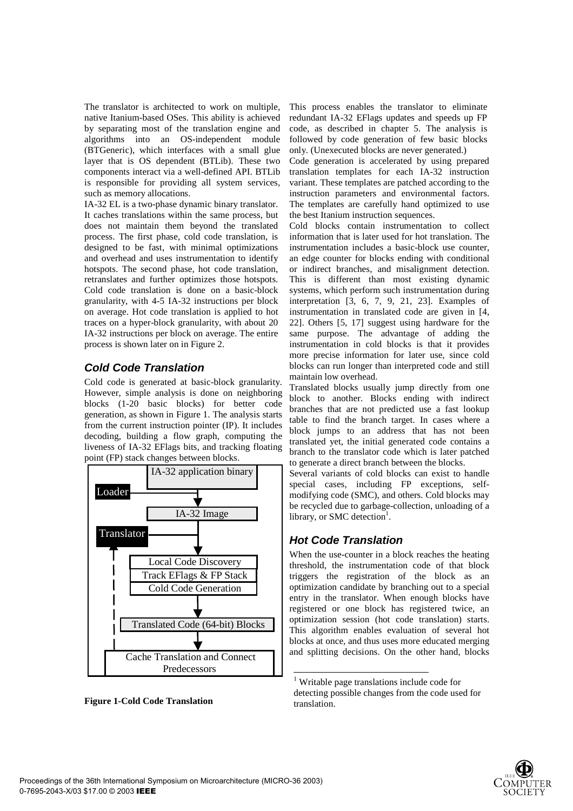The translator is architected to work on multiple, native Itanium-based OSes. This ability is achieved by separating most of the translation engine and algorithms into an OS-independent module (BTGeneric), which interfaces with a small glue layer that is OS dependent (BTLib). These two components interact via a well-defined API. BTLib is responsible for providing all system services, such as memory allocations.

IA-32 EL is a two-phase dynamic binary translator. It caches translations within the same process, but does not maintain them beyond the translated process. The first phase, cold code translation, is designed to be fast, with minimal optimizations and overhead and uses instrumentation to identify hotspots. The second phase, hot code translation, retranslates and further optimizes those hotspots. Cold code translation is done on a basic-block granularity, with 4-5 IA-32 instructions per block on average. Hot code translation is applied to hot traces on a hyper-block granularity, with about 20 IA-32 instructions per block on average. The entire process is shown later on in Figure 2.

## *Cold Code Translation*

Cold code is generated at basic-block granularity. However, simple analysis is done on neighboring blocks (1-20 basic blocks) for better code generation, as shown in Figure 1. The analysis starts from the current instruction pointer (IP). It includes decoding, building a flow graph, computing the liveness of IA-32 EFlags bits, and tracking floating point (FP) stack changes between blocks.



**Figure 1-Cold Code Translation** 

This process enables the translator to eliminate redundant IA-32 EFlags updates and speeds up FP code, as described in chapter 5. The analysis is followed by code generation of few basic blocks only. (Unexecuted blocks are never generated.)

Code generation is accelerated by using prepared translation templates for each IA-32 instruction variant. These templates are patched according to the instruction parameters and environmental factors. The templates are carefully hand optimized to use the best Itanium instruction sequences.

Cold blocks contain instrumentation to collect information that is later used for hot translation. The instrumentation includes a basic-block use counter, an edge counter for blocks ending with conditional or indirect branches, and misalignment detection. This is different than most existing dynamic systems, which perform such instrumentation during interpretation [3, 6, 7, 9, 21, 23]. Examples of instrumentation in translated code are given in [4, 22]. Others [5, 17] suggest using hardware for the same purpose. The advantage of adding the instrumentation in cold blocks is that it provides more precise information for later use, since cold blocks can run longer than interpreted code and still maintain low overhead.

Translated blocks usually jump directly from one block to another. Blocks ending with indirect branches that are not predicted use a fast lookup table to find the branch target. In cases where a block jumps to an address that has not been translated yet, the initial generated code contains a branch to the translator code which is later patched to generate a direct branch between the blocks.

Several variants of cold blocks can exist to handle special cases, including FP exceptions, selfmodifying code (SMC), and others. Cold blocks may be recycled due to garbage-collection, unloading of a library, or SMC detection<sup>1</sup>.

## *Hot Code Translation*

 $\overline{a}$ 

When the use-counter in a block reaches the heating threshold, the instrumentation code of that block triggers the registration of the block as an optimization candidate by branching out to a special entry in the translator. When enough blocks have registered or one block has registered twice, an optimization session (hot code translation) starts. This algorithm enables evaluation of several hot blocks at once, and thus uses more educated merging and splitting decisions. On the other hand, blocks



<sup>1</sup> Writable page translations include code for detecting possible changes from the code used for translation.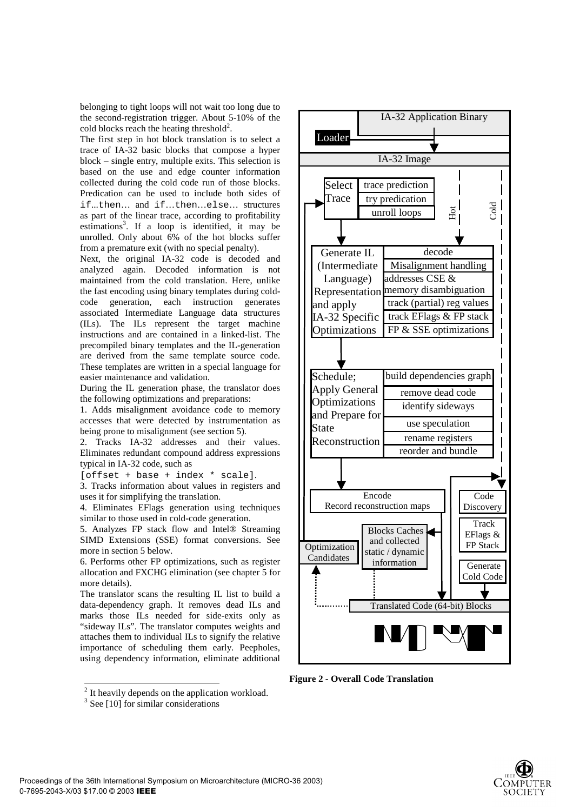belonging to tight loops will not wait too long due to the second-registration trigger. About 5-10% of the cold blocks reach the heating threshold<sup>2</sup>.

The first step in hot block translation is to select a trace of IA-32 basic blocks that compose a hyper block – single entry, multiple exits. This selection is based on the use and edge counter information collected during the cold code run of those blocks. Predication can be used to include both sides of if...then… and if…then…else… structures as part of the linear trace, according to profitability estimations<sup>3</sup>. If a loop is identified, it may be unrolled. Only about 6% of the hot blocks suffer from a premature exit (with no special penalty).

Next, the original IA-32 code is decoded and analyzed again. Decoded information is not maintained from the cold translation. Here, unlike the fast encoding using binary templates during coldcode generation, each instruction generates associated Intermediate Language data structures (ILs). The ILs represent the target machine instructions and are contained in a linked-list. The precompiled binary templates and the IL-generation are derived from the same template source code. These templates are written in a special language for easier maintenance and validation.

During the IL generation phase, the translator does the following optimizations and preparations:

1. Adds misalignment avoidance code to memory accesses that were detected by instrumentation as being prone to misalignment (see section 5).

2. Tracks IA-32 addresses and their values. Eliminates redundant compound address expressions typical in IA-32 code, such as

[offset + base + index \* scale].

3. Tracks information about values in registers and uses it for simplifying the translation.

4. Eliminates EFlags generation using techniques similar to those used in cold-code generation.

5. Analyzes FP stack flow and Intel® Streaming SIMD Extensions (SSE) format conversions. See more in section 5 below.

6. Performs other FP optimizations, such as register allocation and FXCHG elimination (see chapter 5 for more details).

The translator scans the resulting IL list to build a data-dependency graph. It removes dead ILs and marks those ILs needed for side-exits only as "sideway ILs". The translator computes weights and attaches them to individual ILs to signify the relative importance of scheduling them early. Peepholes, using dependency information, eliminate additional



**Figure 2 - Overall Code Translation** 

- **EXECUTE:** It heavily depends on the application workload.
- <sup>3</sup> See [10] for similar considerations

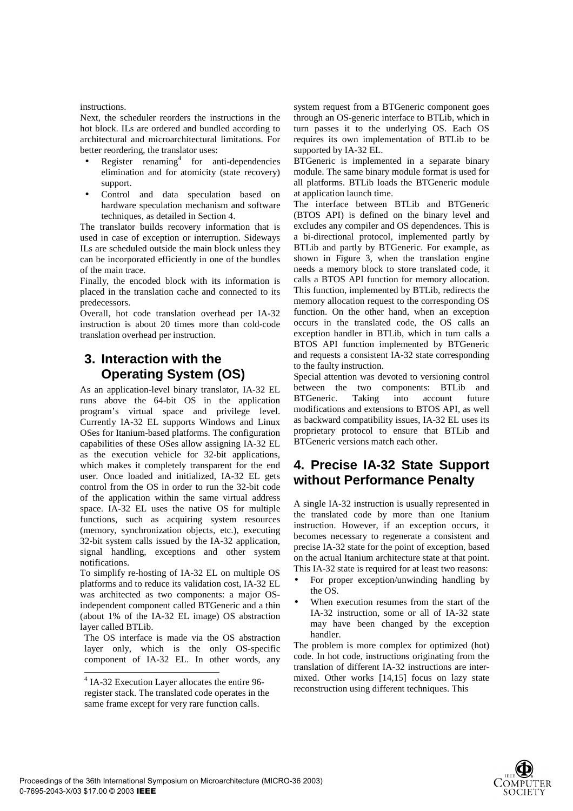#### instructions.

Next, the scheduler reorders the instructions in the hot block. ILs are ordered and bundled according to architectural and microarchitectural limitations. For better reordering, the translator uses:

- Register renaming<sup>4</sup> for anti-dependencies elimination and for atomicity (state recovery) support.
- Control and data speculation based on hardware speculation mechanism and software techniques, as detailed in Section 4.

The translator builds recovery information that is used in case of exception or interruption. Sideways ILs are scheduled outside the main block unless they can be incorporated efficiently in one of the bundles of the main trace.

Finally, the encoded block with its information is placed in the translation cache and connected to its predecessors.

Overall, hot code translation overhead per IA-32 instruction is about 20 times more than cold-code translation overhead per instruction.

# **3. Interaction with the Operating System (OS)**

As an application-level binary translator, IA-32 EL runs above the 64-bit OS in the application program's virtual space and privilege level. Currently IA-32 EL supports Windows and Linux OSes for Itanium-based platforms. The configuration capabilities of these OSes allow assigning IA-32 EL as the execution vehicle for 32-bit applications, which makes it completely transparent for the end user. Once loaded and initialized, IA-32 EL gets control from the OS in order to run the 32-bit code of the application within the same virtual address space. IA-32 EL uses the native OS for multiple functions, such as acquiring system resources (memory, synchronization objects, etc.), executing 32-bit system calls issued by the IA-32 application, signal handling, exceptions and other system notifications.

To simplify re-hosting of IA-32 EL on multiple OS platforms and to reduce its validation cost, IA-32 EL was architected as two components: a major OSindependent component called BTGeneric and a thin (about 1% of the IA-32 EL image) OS abstraction layer called BTLib.

The OS interface is made via the OS abstraction layer only, which is the only OS-specific component of IA-32 EL. In other words, any

system request from a BTGeneric component goes through an OS-generic interface to BTLib, which in turn passes it to the underlying OS. Each OS requires its own implementation of BTLib to be supported by IA-32 EL.

BTGeneric is implemented in a separate binary module. The same binary module format is used for all platforms. BTLib loads the BTGeneric module at application launch time.

The interface between BTLib and BTGeneric (BTOS API) is defined on the binary level and excludes any compiler and OS dependences. This is a bi-directional protocol, implemented partly by BTLib and partly by BTGeneric. For example, as shown in Figure 3, when the translation engine needs a memory block to store translated code, it calls a BTOS API function for memory allocation. This function, implemented by BTLib, redirects the memory allocation request to the corresponding OS function. On the other hand, when an exception occurs in the translated code, the OS calls an exception handler in BTLib, which in turn calls a BTOS API function implemented by BTGeneric and requests a consistent IA-32 state corresponding to the faulty instruction.

Special attention was devoted to versioning control between the two components: BTLib and BTGeneric. Taking into account future modifications and extensions to BTOS API, as well as backward compatibility issues, IA-32 EL uses its proprietary protocol to ensure that BTLib and BTGeneric versions match each other.

# **4. Precise IA-32 State Support without Performance Penalty**

A single IA-32 instruction is usually represented in the translated code by more than one Itanium instruction. However, if an exception occurs, it becomes necessary to regenerate a consistent and precise IA-32 state for the point of exception, based on the actual Itanium architecture state at that point. This IA-32 state is required for at least two reasons:

- For proper exception/unwinding handling by the OS.
- When execution resumes from the start of the IA-32 instruction, some or all of IA-32 state may have been changed by the exception handler.

The problem is more complex for optimized (hot) code. In hot code, instructions originating from the translation of different IA-32 instructions are intermixed. Other works [14,15] focus on lazy state reconstruction using different techniques. This

 4 IA-32 Execution Layer allocates the entire 96 register stack. The translated code operates in the same frame except for very rare function calls.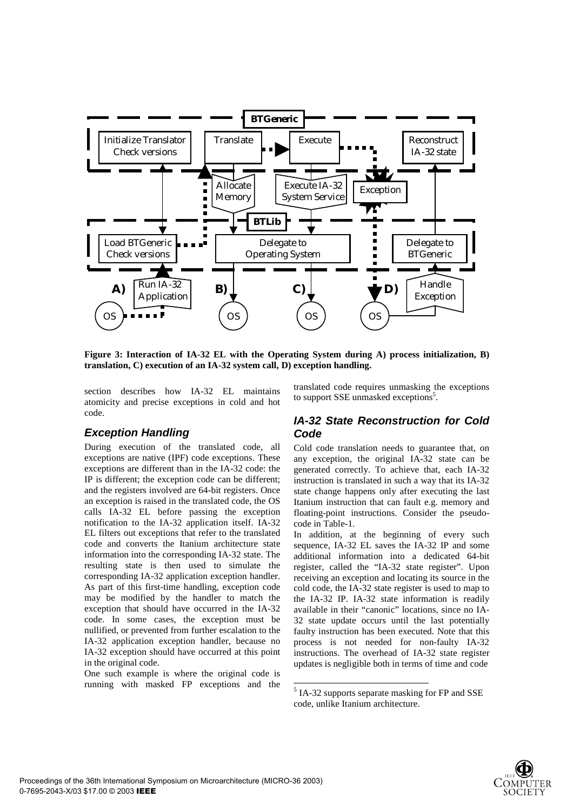

**Figure 3: Interaction of IA-32 EL with the Operating System during A) process initialization, B) translation, C) execution of an IA-32 system call, D) exception handling.**

 $\overline{a}$ 

section describes how IA-32 EL maintains atomicity and precise exceptions in cold and hot code.

### *Exception Handling*

During execution of the translated code, all exceptions are native (IPF) code exceptions. These exceptions are different than in the IA-32 code: the IP is different; the exception code can be different; and the registers involved are 64-bit registers. Once an exception is raised in the translated code, the OS calls IA-32 EL before passing the exception notification to the IA-32 application itself. IA-32 EL filters out exceptions that refer to the translated code and converts the Itanium architecture state information into the corresponding IA-32 state. The resulting state is then used to simulate the corresponding IA-32 application exception handler. As part of this first-time handling, exception code may be modified by the handler to match the exception that should have occurred in the IA-32 code. In some cases, the exception must be nullified, or prevented from further escalation to the IA-32 application exception handler, because no IA-32 exception should have occurred at this point in the original code.

One such example is where the original code is running with masked FP exceptions and the translated code requires unmasking the exceptions to support SSE unmasked exceptions<sup>5</sup>.

#### *IA-32 State Reconstruction for Cold Code*

Cold code translation needs to guarantee that, on any exception, the original IA-32 state can be generated correctly. To achieve that, each IA-32 instruction is translated in such a way that its IA-32 state change happens only after executing the last Itanium instruction that can fault e.g. memory and floating-point instructions. Consider the pseudocode in Table-1.

In addition, at the beginning of every such sequence, IA-32 EL saves the IA-32 IP and some additional information into a dedicated 64-bit register, called the "IA-32 state register". Upon receiving an exception and locating its source in the cold code, the IA-32 state register is used to map to the IA-32 IP. IA-32 state information is readily available in their "canonic" locations, since no IA-32 state update occurs until the last potentially faulty instruction has been executed. Note that this process is not needed for non-faulty IA-32 instructions. The overhead of IA-32 state register updates is negligible both in terms of time and code



<sup>&</sup>lt;sup>5</sup> IA-32 supports separate masking for FP and SSE code, unlike Itanium architecture.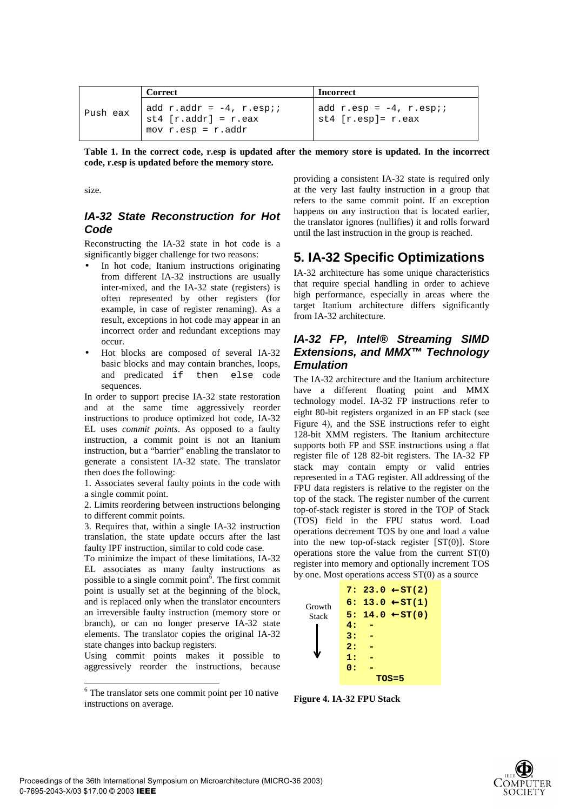|          | Correct                                                                                   | <b>Incorrect</b>                                              |
|----------|-------------------------------------------------------------------------------------------|---------------------------------------------------------------|
| Push eax | add $r.addr = -4$ , $r.espi$ ;<br>$st4 [r.addr] = r.eax$<br>mov $r.\exp = r. \text{addr}$ | add $r.\exp = -4$ , $r.\exp i$<br>$st4$ [ $r. esp$ ]= $r. ex$ |

**Table 1. In the correct code, r.esp is updated after the memory store is updated. In the incorrect code, r.esp is updated before the memory store.** 

size.

### *IA-32 State Reconstruction for Hot Code*

Reconstructing the IA-32 state in hot code is a significantly bigger challenge for two reasons:

- In hot code, Itanium instructions originating from different IA-32 instructions are usually inter-mixed, and the IA-32 state (registers) is often represented by other registers (for example, in case of register renaming). As a result, exceptions in hot code may appear in an incorrect order and redundant exceptions may occur.
- Hot blocks are composed of several IA-32 basic blocks and may contain branches, loops, and predicated if then else code sequences.

In order to support precise IA-32 state restoration and at the same time aggressively reorder instructions to produce optimized hot code, IA-32 EL uses *commit points*. As opposed to a faulty instruction, a commit point is not an Itanium instruction, but a "barrier" enabling the translator to generate a consistent IA-32 state. The translator then does the following:

1. Associates several faulty points in the code with a single commit point.

2. Limits reordering between instructions belonging to different commit points.

3. Requires that, within a single IA-32 instruction translation, the state update occurs after the last faulty IPF instruction, similar to cold code case.

To minimize the impact of these limitations, IA-32 EL associates as many faulty instructions as possible to a single commit point<sup> $\delta$ </sup>. The first commit point is usually set at the beginning of the block, and is replaced only when the translator encounters an irreversible faulty instruction (memory store or branch), or can no longer preserve IA-32 state elements. The translator copies the original IA-32 state changes into backup registers.

Using commit points makes it possible to aggressively reorder the instructions, because

1

providing a consistent IA-32 state is required only at the very last faulty instruction in a group that refers to the same commit point. If an exception happens on any instruction that is located earlier, the translator ignores (nullifies) it and rolls forward until the last instruction in the group is reached.

# **5. IA-32 Specific Optimizations**

IA-32 architecture has some unique characteristics that require special handling in order to achieve high performance, especially in areas where the target Itanium architecture differs significantly from IA-32 architecture.

### *IA-32 FP, Intel® Streaming SIMD Extensions, and MMX™ Technology Emulation*

The IA-32 architecture and the Itanium architecture have a different floating point and MMX technology model. IA-32 FP instructions refer to eight 80-bit registers organized in an FP stack (see Figure 4), and the SSE instructions refer to eight 128-bit XMM registers. The Itanium architecture supports both FP and SSE instructions using a flat register file of 128 82-bit registers. The IA-32 FP stack may contain empty or valid entries represented in a TAG register. All addressing of the FPU data registers is relative to the register on the top of the stack. The register number of the current top-of-stack register is stored in the TOP of Stack (TOS) field in the FPU status word. Load operations decrement TOS by one and load a value into the new top-of-stack register [ST(0)]. Store operations store the value from the current ST(0) register into memory and optionally increment TOS by one. Most operations access ST(0) as a source

| 7: 23.0 $\leftarrow$ ST(2) |  |
|----------------------------|--|
| 6: 13.0 $\leftarrow$ ST(1) |  |
| 5: 14.0 $\leftarrow$ ST(0) |  |
| 4:                         |  |
| 3:                         |  |
| 2:                         |  |
| 1:                         |  |
| 0:                         |  |
| $TOS=5$                    |  |
|                            |  |

**Figure 4. IA-32 FPU Stack** 



<sup>6</sup> The translator sets one commit point per 10 native instructions on average.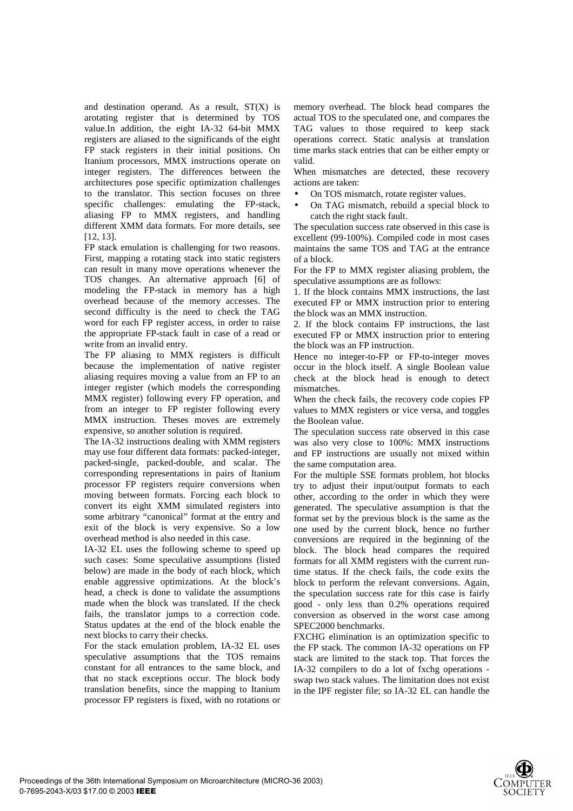and destination operand. As a result,  $ST(X)$  is arotating register that is determined by TOS value.In addition, the eight IA-32 64-bit MMX registers are aliased to the significands of the eight FP stack registers in their initial positions. On Itanium processors, MMX instructions operate on integer registers. The differences between the architectures pose specific optimization challenges to the translator. This section focuses on three specific challenges: emulating the FP-stack, aliasing FP to MMX registers, and handling different XMM data formats. For more details, see [12, 13].

FP stack emulation is challenging for two reasons. First, mapping a rotating stack into static registers can result in many move operations whenever the TOS changes. An alternative approach [6] of modeling the FP-stack in memory has a high overhead because of the memory accesses. The second difficulty is the need to check the TAG word for each FP register access, in order to raise the appropriate FP-stack fault in case of a read or write from an invalid entry.

The FP aliasing to MMX registers is difficult because the implementation of native register aliasing requires moving a value from an FP to an integer register (which models the corresponding MMX register) following every FP operation, and from an integer to FP register following every MMX instruction. Theses moves are extremely expensive, so another solution is required.

The IA-32 instructions dealing with XMM registers may use four different data formats: packed-integer, packed-single, packed-double, and scalar. The corresponding representations in pairs of Itanium processor FP registers require conversions when moving between formats. Forcing each block to convert its eight XMM simulated registers into some arbitrary "canonical" format at the entry and exit of the block is very expensive. So a low overhead method is also needed in this case.

IA-32 EL uses the following scheme to speed up such cases: Some speculative assumptions (listed below) are made in the body of each block, which enable aggressive optimizations. At the block's head, a check is done to validate the assumptions made when the block was translated. If the check fails, the translator jumps to a correction code. Status updates at the end of the block enable the next blocks to carry their checks.

For the stack emulation problem, IA-32 EL uses speculative assumptions that the TOS remains constant for all entrances to the same block, and that no stack exceptions occur. The block body translation benefits, since the mapping to Itanium processor FP registers is fixed, with no rotations or

memory overhead. The block head compares the actual TOS to the speculated one, and compares the TAG values to those required to keep stack operations correct. Static analysis at translation time marks stack entries that can be either empty or valid.

When mismatches are detected, these recovery actions are taken:

- On TOS mismatch, rotate register values.
- On TAG mismatch, rebuild a special block to catch the right stack fault.

The speculation success rate observed in this case is excellent (99-100%). Compiled code in most cases maintains the same TOS and TAG at the entrance of a block.

For the FP to MMX register aliasing problem, the speculative assumptions are as follows:

1. If the block contains MMX instructions, the last executed FP or MMX instruction prior to entering the block was an MMX instruction.

2. If the block contains FP instructions, the last executed FP or MMX instruction prior to entering the block was an FP instruction.

Hence no integer-to-FP or FP-to-integer moves occur in the block itself. A single Boolean value check at the block head is enough to detect mismatches.

When the check fails, the recovery code copies FP values to MMX registers or vice versa, and toggles the Boolean value.

The speculation success rate observed in this case was also very close to 100%: MMX instructions and FP instructions are usually not mixed within the same computation area.

For the multiple SSE formats problem, hot blocks try to adjust their input/output formats to each other, according to the order in which they were generated. The speculative assumption is that the format set by the previous block is the same as the one used by the current block, hence no further conversions are required in the beginning of the block. The block head compares the required formats for all XMM registers with the current runtime status. If the check fails, the code exits the block to perform the relevant conversions. Again, the speculation success rate for this case is fairly good - only less than 0.2% operations required conversion as observed in the worst case among SPEC2000 benchmarks.

FXCHG elimination is an optimization specific to the FP stack. The common IA-32 operations on FP stack are limited to the stack top. That forces the IA-32 compilers to do a lot of fxchg operations swap two stack values. The limitation does not exist in the IPF register file; so IA-32 EL can handle the

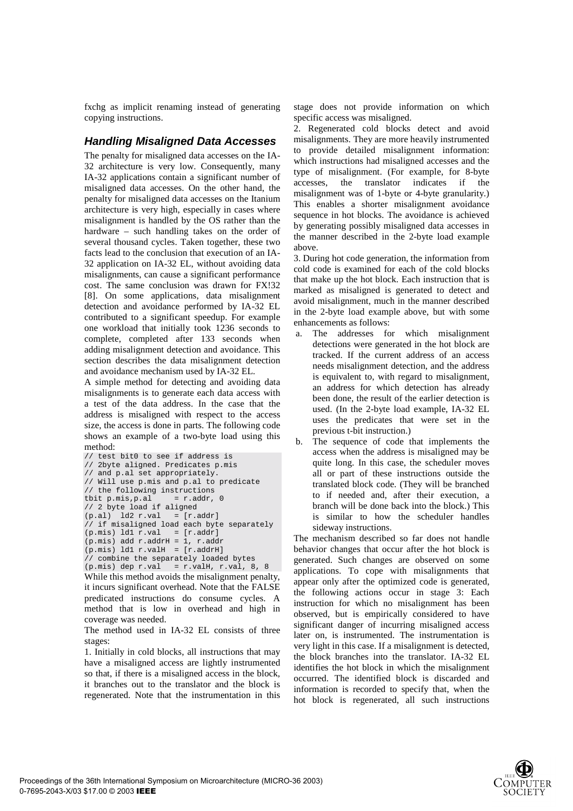fxchg as implicit renaming instead of generating copying instructions.

### *Handling Misaligned Data Accesses*

The penalty for misaligned data accesses on the IA-32 architecture is very low. Consequently, many IA-32 applications contain a significant number of misaligned data accesses. On the other hand, the penalty for misaligned data accesses on the Itanium architecture is very high, especially in cases where misalignment is handled by the OS rather than the hardware – such handling takes on the order of several thousand cycles. Taken together, these two facts lead to the conclusion that execution of an IA-32 application on IA-32 EL, without avoiding data misalignments, can cause a significant performance cost. The same conclusion was drawn for FX!32 [8]. On some applications, data misalignment detection and avoidance performed by IA-32 EL contributed to a significant speedup. For example one workload that initially took 1236 seconds to complete, completed after 133 seconds when adding misalignment detection and avoidance. This section describes the data misalignment detection and avoidance mechanism used by IA-32 EL.

A simple method for detecting and avoiding data misalignments is to generate each data access with a test of the data address. In the case that the address is misaligned with respect to the access size, the access is done in parts. The following code shows an example of a two-byte load using this method:

```
// test bit0 to see if address is
// 2byte aligned. Predicates p.mis
// and p.al set appropriately.
// Will use p.mis and p.al to predicate
// the following instructions
tbit p.mis.p.al = r.addr, 0// 2 byte load if aligned
(p.a1) 1d2 r.val = [r.addr]// if misaligned load each byte separately
(p.mis) ld1 r.val = [r.addr](p.mis) add r.addrH = 1, r.addr
(p.mis) ld1 r.va1H = [r.addrH]// combine the separately loaded bytes
(p.mis) dep r.val = r.valH, r.val, 8, 8
```
While this method avoids the misalignment penalty, it incurs significant overhead. Note that the FALSE predicated instructions do consume cycles. A method that is low in overhead and high in coverage was needed.

The method used in IA-32 EL consists of three stages:

1. Initially in cold blocks, all instructions that may have a misaligned access are lightly instrumented so that, if there is a misaligned access in the block, it branches out to the translator and the block is regenerated. Note that the instrumentation in this

stage does not provide information on which specific access was misaligned.

2. Regenerated cold blocks detect and avoid misalignments. They are more heavily instrumented to provide detailed misalignment information: which instructions had misaligned accesses and the type of misalignment. (For example, for 8-byte accesses, the translator indicates if the misalignment was of 1-byte or 4-byte granularity.) This enables a shorter misalignment avoidance sequence in hot blocks. The avoidance is achieved by generating possibly misaligned data accesses in the manner described in the 2-byte load example above.

3. During hot code generation, the information from cold code is examined for each of the cold blocks that make up the hot block. Each instruction that is marked as misaligned is generated to detect and avoid misalignment, much in the manner described in the 2-byte load example above, but with some enhancements as follows:

- a. The addresses for which misalignment detections were generated in the hot block are tracked. If the current address of an access needs misalignment detection, and the address is equivalent to, with regard to misalignment, an address for which detection has already been done, the result of the earlier detection is used. (In the 2-byte load example, IA-32 EL uses the predicates that were set in the previous t-bit instruction.)
- b. The sequence of code that implements the access when the address is misaligned may be quite long. In this case, the scheduler moves all or part of these instructions outside the translated block code. (They will be branched to if needed and, after their execution, a branch will be done back into the block.) This is similar to how the scheduler handles sideway instructions.

The mechanism described so far does not handle behavior changes that occur after the hot block is generated. Such changes are observed on some applications. To cope with misalignments that appear only after the optimized code is generated, the following actions occur in stage 3: Each instruction for which no misalignment has been observed, but is empirically considered to have significant danger of incurring misaligned access later on, is instrumented. The instrumentation is very light in this case. If a misalignment is detected, the block branches into the translator. IA-32 EL identifies the hot block in which the misalignment occurred. The identified block is discarded and information is recorded to specify that, when the hot block is regenerated, all such instructions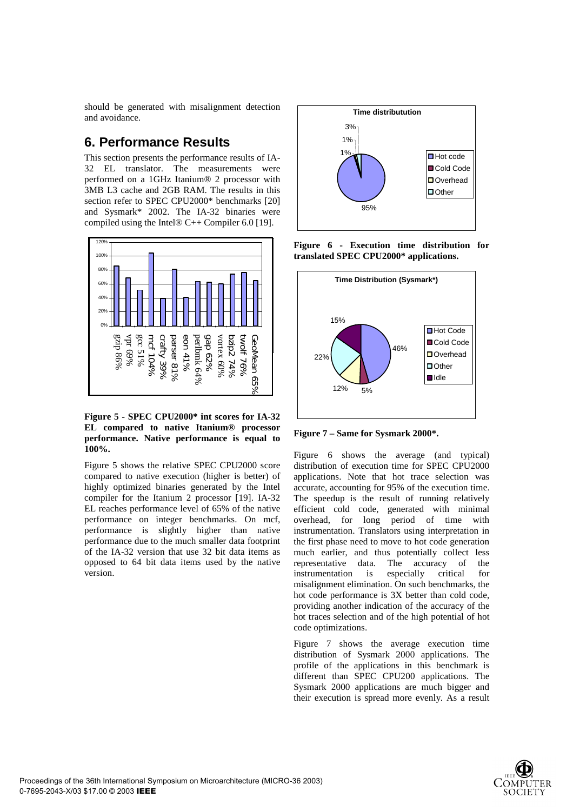should be generated with misalignment detection and avoidance.

# **6. Performance Results**

This section presents the performance results of IA-32 EL translator. The measurements were performed on a 1GHz Itanium® 2 processor with 3MB L3 cache and 2GB RAM. The results in this section refer to SPEC CPU2000\* benchmarks [20] and Sysmark\* 2002. The IA-32 binaries were compiled using the Intel® C++ Compiler 6.0 [19].



**Figure 5 - SPEC CPU2000\* int scores for IA-32 EL compared to native Itanium® processor performance. Native performance is equal to 100%.** 

Figure 5 shows the relative SPEC CPU2000 score compared to native execution (higher is better) of highly optimized binaries generated by the Intel compiler for the Itanium 2 processor [19]. IA-32 EL reaches performance level of 65% of the native performance on integer benchmarks. On mcf, performance is slightly higher than native performance due to the much smaller data footprint of the IA-32 version that use 32 bit data items as opposed to 64 bit data items used by the native version.



**Figure 6 - Execution time distribution for translated SPEC CPU2000\* applications.** 



**Figure 7 – Same for Sysmark 2000\*.** 

Figure 6 shows the average (and typical) distribution of execution time for SPEC CPU2000 applications. Note that hot trace selection was accurate, accounting for 95% of the execution time. The speedup is the result of running relatively efficient cold code, generated with minimal overhead, for long period of time with instrumentation. Translators using interpretation in the first phase need to move to hot code generation much earlier, and thus potentially collect less representative data. The accuracy of the instrumentation is especially critical for misalignment elimination. On such benchmarks, the hot code performance is 3X better than cold code, providing another indication of the accuracy of the hot traces selection and of the high potential of hot code optimizations.

Figure 7 shows the average execution time distribution of Sysmark 2000 applications. The profile of the applications in this benchmark is different than SPEC CPU200 applications. The Sysmark 2000 applications are much bigger and their execution is spread more evenly. As a result

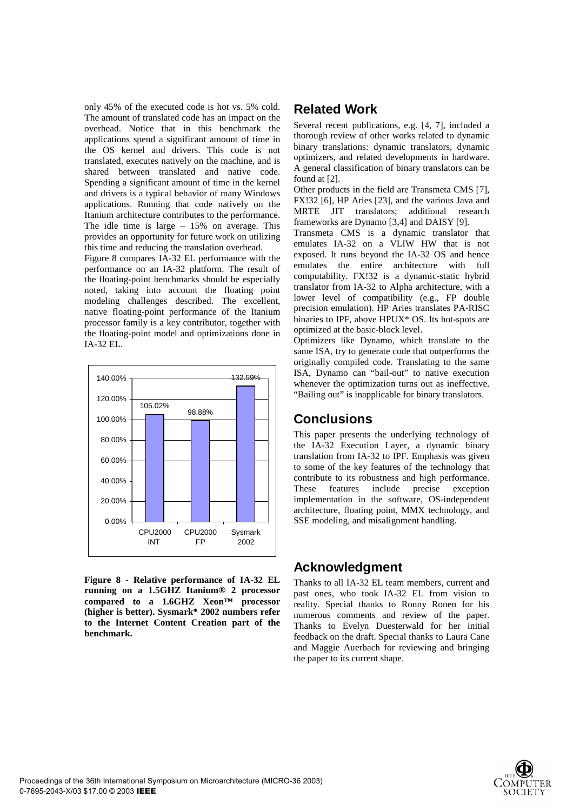only 45% of the executed code is hot vs. 5% cold. The amount of translated code has an impact on the overhead. Notice that in this benchmark the applications spend a significant amount of time in the OS kernel and drivers. This code is not translated, executes natively on the machine, and is shared between translated and native code. Spending a significant amount of time in the kernel and drivers is a typical behavior of many Windows applications. Running that code natively on the Itanium architecture contributes to the performance. The idle time is large – 15% on average. This provides an opportunity for future work on utilizing this time and reducing the translation overhead.

Figure 8 compares IA-32 EL performance with the performance on an IA-32 platform. The result of the floating-point benchmarks should be especially noted, taking into account the floating point modeling challenges described. The excellent, native floating-point performance of the Itanium processor family is a key contributor, together with the floating-point model and optimizations done in IA-32 EL.



**Figure 8 - Relative performance of IA-32 EL running on a 1.5GHZ Itanium® 2 processor compared to a 1.6GHZ Xeon™ processor (higher is better). Sysmark\* 2002 numbers refer to the Internet Content Creation part of the benchmark.**

# **Related Work**

Several recent publications, e.g. [4, 7], included a thorough review of other works related to dynamic binary translations: dynamic translators, dynamic optimizers, and related developments in hardware. A general classification of binary translators can be found at [2].

Other products in the field are Transmeta CMS [7], FX!32 [6], HP Aries [23], and the various Java and MRTE JIT translators; additional research frameworks are Dynamo [3,4] and DAISY [9].

Transmeta CMS is a dynamic translator that emulates IA-32 on a VLIW HW that is not exposed. It runs beyond the IA-32 OS and hence emulates the entire architecture with full computability. FX!32 is a dynamic-static hybrid translator from IA-32 to Alpha architecture, with a lower level of compatibility (e.g., FP double precision emulation). HP Aries translates PA-RISC binaries to IPF, above HPUX\* OS. Its hot-spots are optimized at the basic-block level.

Optimizers like Dynamo, which translate to the same ISA, try to generate code that outperforms the originally compiled code. Translating to the same ISA, Dynamo can "bail-out" to native execution whenever the optimization turns out as ineffective. "Bailing out" is inapplicable for binary translators.

## **Conclusions**

This paper presents the underlying technology of the IA-32 Execution Layer, a dynamic binary translation from IA-32 to IPF. Emphasis was given to some of the key features of the technology that contribute to its robustness and high performance. These features include precise exception implementation in the software, OS-independent architecture, floating point, MMX technology, and SSE modeling, and misalignment handling.

# **Acknowledgment**

Thanks to all IA-32 EL team members, current and past ones, who took IA-32 EL from vision to reality. Special thanks to Ronny Ronen for his numerous comments and review of the paper. Thanks to Evelyn Duesterwald for her initial feedback on the draft. Special thanks to Laura Cane and Maggie Auerbach for reviewing and bringing the paper to its current shape.